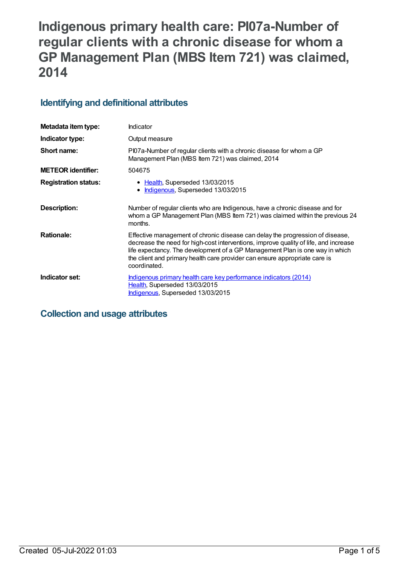# **Indigenous primary health care: PI07a-Number of regular clients with a chronic disease for whom a GP Management Plan (MBS Item 721) was claimed, 2014**

## **Identifying and definitional attributes**

| Metadata item type:         | Indicator                                                                                                                                                                                                                                                                                                                                           |
|-----------------------------|-----------------------------------------------------------------------------------------------------------------------------------------------------------------------------------------------------------------------------------------------------------------------------------------------------------------------------------------------------|
| Indicator type:             | Output measure                                                                                                                                                                                                                                                                                                                                      |
| Short name:                 | PI07a-Number of regular clients with a chronic disease for whom a GP<br>Management Plan (MBS Item 721) was claimed, 2014                                                                                                                                                                                                                            |
| <b>METEOR identifier:</b>   | 504675                                                                                                                                                                                                                                                                                                                                              |
| <b>Registration status:</b> | • Health, Superseded 13/03/2015<br>Indigenous, Superseded 13/03/2015                                                                                                                                                                                                                                                                                |
| Description:                | Number of regular clients who are Indigenous, have a chronic disease and for<br>whom a GP Management Plan (MBS Item 721) was claimed within the previous 24<br>months.                                                                                                                                                                              |
| <b>Rationale:</b>           | Effective management of chronic disease can delay the progression of disease,<br>decrease the need for high-cost interventions, improve quality of life, and increase<br>life expectancy. The development of a GP Management Plan is one way in which<br>the client and primary health care provider can ensure appropriate care is<br>coordinated. |
| Indicator set:              | Indigenous primary health care key performance indicators (2014)<br>Health, Superseded 13/03/2015<br>Indigenous, Superseded 13/03/2015                                                                                                                                                                                                              |

## **Collection and usage attributes**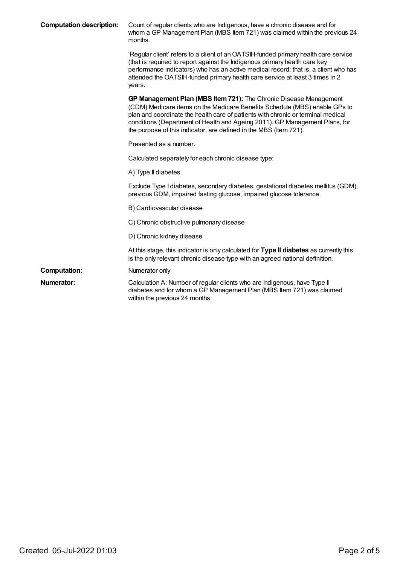| <b>Computation description:</b> | Count of regular clients who are Indigenous, have a chronic disease and for<br>whom a GP Management Plan (MBS Item 721) was claimed within the previous 24<br>months.                                                                                                                                                                                                                   |
|---------------------------------|-----------------------------------------------------------------------------------------------------------------------------------------------------------------------------------------------------------------------------------------------------------------------------------------------------------------------------------------------------------------------------------------|
|                                 | 'Regular client' refers to a client of an OATSIH-funded primary health care service<br>(that is required to report against the Indigenous primary health care key<br>performance indicators) who has an active medical record; that is, a client who has<br>attended the OATSIH-funded primary health care service at least 3 times in 2<br>years.                                      |
|                                 | GP Management Plan (MBS Item 721): The Chronic Disease Management<br>(CDM) Medicare items on the Medicare Benefits Schedule (MBS) enable GPs to<br>plan and coordinate the health care of patients with chronic or terminal medical<br>conditions (Department of Health and Ageing 2011). GP Management Plans, for<br>the purpose of this indicator, are defined in the MBS (Item 721). |
|                                 | Presented as a number.                                                                                                                                                                                                                                                                                                                                                                  |
|                                 | Calculated separately for each chronic disease type:                                                                                                                                                                                                                                                                                                                                    |
|                                 | A) Type II diabetes                                                                                                                                                                                                                                                                                                                                                                     |
|                                 | Exclude Type I diabetes, secondary diabetes, gestational diabetes mellitus (GDM),<br>previous GDM, impaired fasting glucose, impaired glucose tolerance.                                                                                                                                                                                                                                |
|                                 | B) Cardiovascular disease                                                                                                                                                                                                                                                                                                                                                               |
|                                 | C) Chronic obstructive pulmonary disease                                                                                                                                                                                                                                                                                                                                                |
|                                 | D) Chronic kidney disease                                                                                                                                                                                                                                                                                                                                                               |
|                                 | At this stage, this indicator is only calculated for Type II diabetes as currently this<br>is the only relevant chronic disease type with an agreed national definition.                                                                                                                                                                                                                |
| <b>Computation:</b>             | Numerator only                                                                                                                                                                                                                                                                                                                                                                          |
| <b>Numerator:</b>               | Calculation A: Number of regular clients who are Indigenous, have Type II<br>diabetes and for whom a GP Management Plan (MBS Item 721) was claimed<br>within the previous 24 months.                                                                                                                                                                                                    |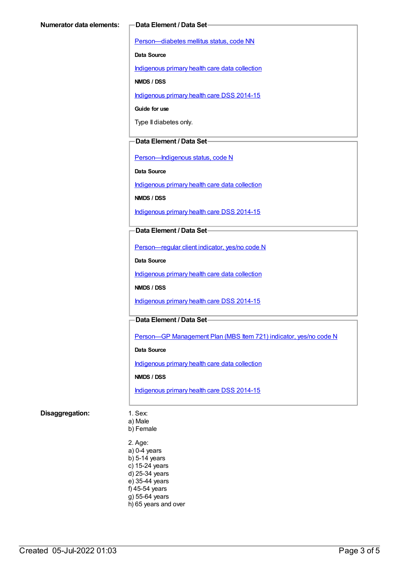[Person—diabetes](https://meteor.aihw.gov.au/content/270194) mellitus status, code NN

**Data Source**

[Indigenous](https://meteor.aihw.gov.au/content/430643) primary health care data collection

**NMDS / DSS**

[Indigenous](https://meteor.aihw.gov.au/content/504325) primary health care DSS 2014-15

**Guide for use**

Type II diabetes only.

#### **Data Element / Data Set**

[Person—Indigenous](https://meteor.aihw.gov.au/content/291036) status, code N

**Data Source**

[Indigenous](https://meteor.aihw.gov.au/content/430643) primary health care data collection

**NMDS / DSS**

[Indigenous](https://meteor.aihw.gov.au/content/504325) primary health care DSS 2014-15

#### **Data Element / Data Set**

[Person—regular](https://meteor.aihw.gov.au/content/436639) client indicator, yes/no code N

**Data Source**

[Indigenous](https://meteor.aihw.gov.au/content/430643) primary health care data collection

**NMDS / DSS**

[Indigenous](https://meteor.aihw.gov.au/content/504325) primary health care DSS 2014-15

### **Data Element / Data Set**

Person-GP [Management](https://meteor.aihw.gov.au/content/504966) Plan (MBS Item 721) indicator, yes/no code N

**Data Source**

[Indigenous](https://meteor.aihw.gov.au/content/430643) primary health care data collection

**NMDS / DSS**

[Indigenous](https://meteor.aihw.gov.au/content/504325) primary health care DSS 2014-15

#### **Disaggregation:** 1. Sex:

a) Male

b) Female

2. Age: a) 0-4 years b) 5-14 years c) 15-24 years d) 25-34 years e) 35-44 years f) 45-54 years g) 55-64 years h) 65 years and over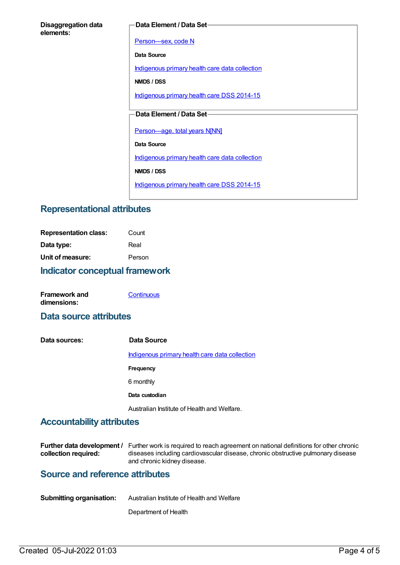#### **Data Element / Data Set**

[Person—sex,](https://meteor.aihw.gov.au/content/287316) code N

**Data Source**

[Indigenous](https://meteor.aihw.gov.au/content/430643) primary health care data collection

**NMDS / DSS**

[Indigenous](https://meteor.aihw.gov.au/content/504325) primary health care DSS 2014-15

## **Data Element / Data Set**

[Person—age,](https://meteor.aihw.gov.au/content/303794) total years N[NN]

**Data Source**

[Indigenous](https://meteor.aihw.gov.au/content/430643) primary health care data collection

**NMDS / DSS**

[Indigenous](https://meteor.aihw.gov.au/content/504325) primary health care DSS 2014-15

## **Representational attributes**

| <b>Indicator conceptual framework</b> |        |
|---------------------------------------|--------|
| Unit of measure:                      | Person |
| Data type:                            | Real   |
| <b>Representation class:</b>          | Count  |

| Framework and | Continuous |
|---------------|------------|
| dimensions:   |            |

## **Data source attributes**

**Data sources: Data Source** [Indigenous](https://meteor.aihw.gov.au/content/430643) primary health care data collection **Frequency** 6 monthly **Data custodian** Australian Institute of Health and Welfare.

## **Accountability attributes**

|                      | <b>Further data development</b> / Further work is required to reach agreement on national definitions for other chronic |
|----------------------|-------------------------------------------------------------------------------------------------------------------------|
| collection required: | diseases including cardiovascular disease, chronic obstructive pulmonary disease                                        |
|                      | and chronic kidney disease.                                                                                             |

## **Source and reference attributes**

| <b>Submitting organisation:</b> | Australian Institute of Health and Welfare |
|---------------------------------|--------------------------------------------|
|                                 |                                            |

Department of Health